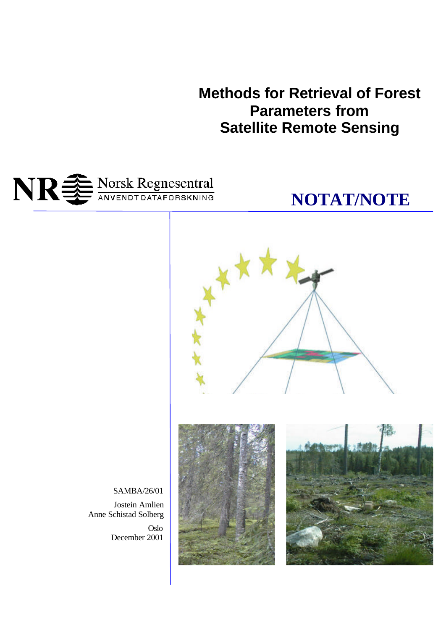**Methods for Retrieval of Forest Parameters from Satellite Remote Sensing**





SAMBA/26/01

Jostein Amlien Anne Schistad Solberg Oslo December 2001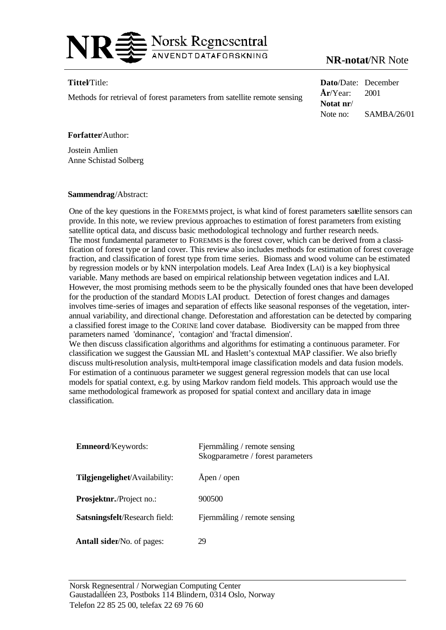

# **NR-notat**/NR Note

### **Tittel**/Title:

Methods for retrieval of forest parameters from satellite remote sensing

**Dato**/Date: December **År**/Year: 2001 **Notat nr**/ Note no: SAMBA/26/01

### **Forfatter**/Author:

Jostein Amlien Anne Schistad Solberg

#### **Sammendrag**/Abstract:

One of the key questions in the FOREMMS project, is what kind of forest parameters satellite sensors can provide. In this note, we review previous approaches to estimation of forest parameters from existing satellite optical data, and discuss basic methodological technology and further research needs. The most fundamental parameter to FOREMMS is the forest cover, which can be derived from a classification of forest type or land cover. This review also includes methods for estimation of forest coverage fraction, and classification of forest type from time series. Biomass and wood volume can be estimated by regression models or by kNN interpolation models. Leaf Area Index (LAI) is a key biophysical variable. Many methods are based on empirical relationship between vegetation indices and LAI. However, the most promising methods seem to be the physically founded ones that have been developed for the production of the standard MODIS LAI product. Detection of forest changes and damages involves time-series of images and separation of effects like seasonal responses of the vegetation, interannual variability, and directional change. Deforestation and afforestation can be detected by comparing a classified forest image to the CORINE land cover database. Biodiversity can be mapped from three parameters named 'dominance', 'contagion' and 'fractal dimension'.

We then discuss classification algorithms and algorithms for estimating a continuous parameter. For classification we suggest the Gaussian ML and Haslett's contextual MAP classifier. We also briefly discuss multi-resolution analysis, multi-temporal image classification models and data fusion models. For estimation of a continuous parameter we suggest general regression models that can use local models for spatial context, e.g. by using Markov random field models. This approach would use the same methodological framework as proposed for spatial context and ancillary data in image classification.

| Emneord/Keywords:                    | Fjernmåling / remote sensing<br>Skogparametre / forest parameters |
|--------------------------------------|-------------------------------------------------------------------|
| Tilgjengelighet/Availability:        | Apen / open                                                       |
| <b>Prosjektnr./Project no.:</b>      | 900500                                                            |
| <b>Satsningsfelt/Research field:</b> | Fjernmåling / remote sensing                                      |
| <b>Antall sider/No. of pages:</b>    | 29                                                                |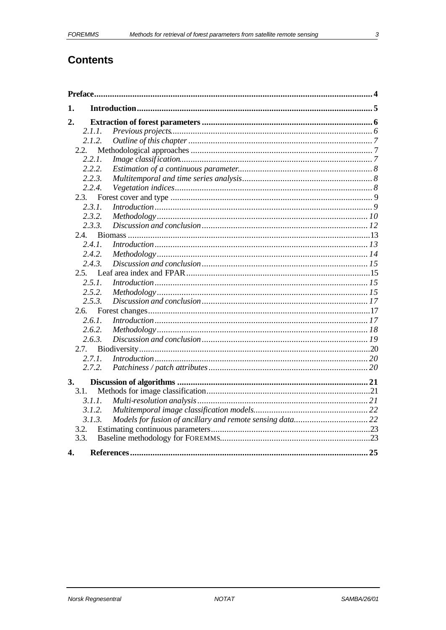# **Contents**

| 1.     |                         |    |
|--------|-------------------------|----|
| 2.     |                         |    |
| 2.1.1. |                         |    |
| 2.1.2. |                         |    |
| 2.2.   |                         |    |
| 2.2.1. |                         |    |
| 2.2.2. |                         |    |
| 2.2.3. |                         |    |
| 2.2.4. |                         |    |
| 2.3.   |                         |    |
| 2.3.1. |                         |    |
| 2.3.2. |                         |    |
| 2.3.3. |                         |    |
| 2.4.   |                         |    |
| 2.4.1. |                         |    |
| 2.4.2. |                         |    |
| 2.4.3. |                         |    |
|        |                         |    |
| 2.5.1. |                         |    |
| 2.5.2. |                         |    |
| 2.5.3. |                         |    |
| 2.6.   |                         |    |
| 2.6.1. |                         |    |
| 2.6.2. |                         |    |
| 2.6.3. |                         |    |
| 2.7.   |                         |    |
| 2.7.1. | $Introduction \dots 30$ |    |
| 2.7.2. |                         |    |
| 3.     |                         |    |
| 3.1.   |                         |    |
| 3.1.1. |                         |    |
| 3.1.2. |                         |    |
| 3.1.3. |                         |    |
| 3.2.   |                         |    |
| 3.3.   |                         |    |
| 4.     | References.             | 25 |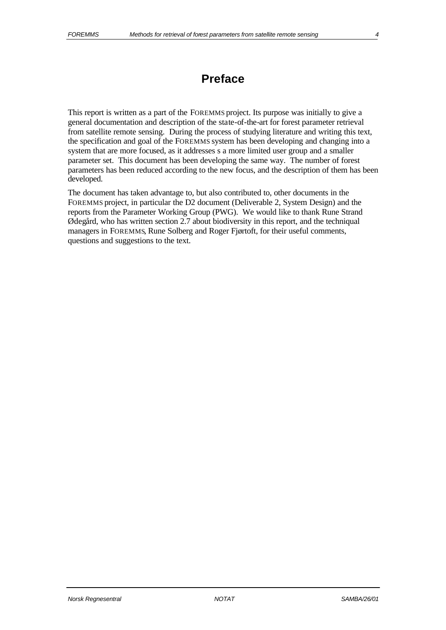# **Preface**

This report is written as a part of the FOREMMS project. Its purpose was initially to give a general documentation and description of the state-of-the-art for forest parameter retrieval from satellite remote sensing. During the process of studying literature and writing this text, the specification and goal of the FOREMMS system has been developing and changing into a system that are more focused, as it addresses s a more limited user group and a smaller parameter set. This document has been developing the same way. The number of forest parameters has been reduced according to the new focus, and the description of them has been developed.

The document has taken advantage to, but also contributed to, other documents in the FOREMMS project, in particular the D2 document (Deliverable 2, System Design) and the reports from the Parameter Working Group (PWG). We would like to thank Rune Strand Ødegård, who has written section 2.7 about biodiversity in this report, and the techniqual managers in FOREMMS, Rune Solberg and Roger Fjørtoft, for their useful comments, questions and suggestions to the text.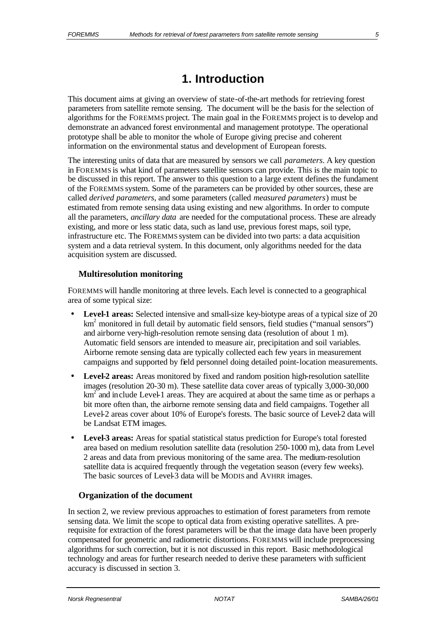# **1. Introduction**

This document aims at giving an overview of state-of-the-art methods for retrieving forest parameters from satellite remote sensing. The document will be the basis for the selection of algorithms for the FOREMMS project. The main goal in the FOREMMS project is to develop and demonstrate an advanced forest environmental and management prototype. The operational prototype shall be able to monitor the whole of Europe giving precise and coherent information on the environmental status and development of European forests.

The interesting units of data that are measured by sensors we call *parameters*. A key question in FOREMMS is what kind of parameters satellite sensors can provide. This is the main topic to be discussed in this report. The answer to this question to a large extent defines the fundament of the FOREMMS system. Some of the parameters can be provided by other sources, these are called *derived parameters*, and some parameters (called *measured parameters*) must be estimated from remote sensing data using existing and new algorithms. In order to compute all the parameters, *ancillary data* are needed for the computational process. These are already existing, and more or less static data, such as land use, previous forest maps, soil type, infrastructure etc. The FOREMMS system can be divided into two parts: a data acquisition system and a data retrieval system. In this document, only algorithms needed for the data acquisition system are discussed.

#### **Multiresolution monitoring**

FOREMMS will handle monitoring at three levels. Each level is connected to a geographical area of some typical size:

- **Level-1 areas:** Selected intensive and small-size key-biotype areas of a typical size of 20 km<sup>2</sup> monitored in full detail by automatic field sensors, field studies ("manual sensors") and airborne very-high-resolution remote sensing data (resolution of about 1 m). Automatic field sensors are intended to measure air, precipitation and soil variables. Airborne remote sensing data are typically collected each few years in measurement campaigns and supported by field personnel doing detailed point-location measurements.
- **Level-2 areas:** Areas monitored by fixed and random position high-resolution satellite images (resolution 20-30 m). These satellite data cover areas of typically 3,000-30,000 km<sup>2</sup> and include Level-1 areas. They are acquired at about the same time as or perhaps a bit more often than, the airborne remote sensing data and field campaigns. Together all Level-2 areas cover about 10% of Europe's forests. The basic source of Level-2 data will be Landsat ETM images.
- **Level-3 areas:** Areas for spatial statistical status prediction for Europe's total forested area based on medium resolution satellite data (resolution 250-1000 m), data from Level 2 areas and data from previous monitoring of the same area. The medium-resolution satellite data is acquired frequently through the vegetation season (every few weeks). The basic sources of Level-3 data will be MODIS and AVHRR images.

### **Organization of the document**

In section 2, we review previous approaches to estimation of forest parameters from remote sensing data. We limit the scope to optical data from existing operative satellites. A prerequisite for extraction of the forest parameters will be that the image data have been properly compensated for geometric and radiometric distortions. FOREMMS will include preprocessing algorithms for such correction, but it is not discussed in this report. Basic methodological technology and areas for further research needed to derive these parameters with sufficient accuracy is discussed in section 3.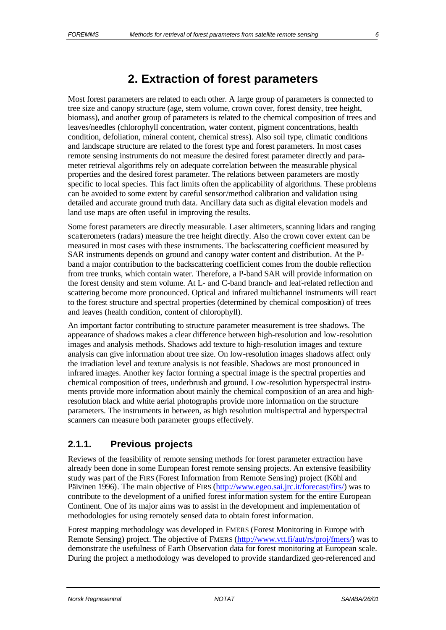# **2. Extraction of forest parameters**

Most forest parameters are related to each other. A large group of parameters is connected to tree size and canopy structure (age, stem volume, crown cover, forest density, tree height, biomass), and another group of parameters is related to the chemical composition of trees and leaves/needles (chlorophyll concentration, water content, pigment concentrations, health condition, defoliation, mineral content, chemical stress). Also soil type, climatic conditions and landscape structure are related to the forest type and forest parameters. In most cases remote sensing instruments do not measure the desired forest parameter directly and parameter retrieval algorithms rely on adequate correlation between the measurable physical properties and the desired forest parameter. The relations between parameters are mostly specific to local species. This fact limits often the applicability of algorithms. These problems can be avoided to some extent by careful sensor/method calibration and validation using detailed and accurate ground truth data. Ancillary data such as digital elevation models and land use maps are often useful in improving the results.

Some forest parameters are directly measurable. Laser altimeters, scanning lidars and ranging scatterometers (radars) measure the tree height directly. Also the crown cover extent can be measured in most cases with these instruments. The backscattering coefficient measured by SAR instruments depends on ground and canopy water content and distribution. At the Pband a major contribution to the backscattering coefficient comes from the double reflection from tree trunks, which contain water. Therefore, a P-band SAR will provide information on the forest density and stem volume. At L- and C-band branch- and leaf-related reflection and scattering become more pronounced. Optical and infrared multichannel instruments will react to the forest structure and spectral properties (determined by chemical composition) of trees and leaves (health condition, content of chlorophyll).

An important factor contributing to structure parameter measurement is tree shadows. The appearance of shadows makes a clear difference between high-resolution and low-resolution images and analysis methods. Shadows add texture to high-resolution images and texture analysis can give information about tree size. On low-resolution images shadows affect only the irradiation level and texture analysis is not feasible. Shadows are most pronounced in infrared images. Another key factor forming a spectral image is the spectral properties and chemical composition of trees, underbrush and ground. Low-resolution hyperspectral instruments provide more information about mainly the chemical composition of an area and highresolution black and white aerial photographs provide more information on the structure parameters. The instruments in between, as high resolution multispectral and hyperspectral scanners can measure both parameter groups effectively.

# **2.1.1. Previous projects**

Reviews of the feasibility of remote sensing methods for forest parameter extraction have already been done in some European forest remote sensing projects. An extensive feasibility study was part of the FIRS (Forest Information from Remote Sensing) project (Köhl and Päivinen 1996). The main objective of FIRS (http://www.egeo.sai.jrc.it/forecast/firs/) was to contribute to the development of a unified forest information system for the entire European Continent. One of its major aims was to assist in the development and implementation of methodologies for using remotely sensed data to obtain forest information.

Forest mapping methodology was developed in FMERS (Forest Monitoring in Europe with Remote Sensing) project. The objective of FMERS (http://www.vtt.fi/aut/rs/proj/fmers/) was to demonstrate the usefulness of Earth Observation data for forest monitoring at European scale. During the project a methodology was developed to provide standardized geo-referenced and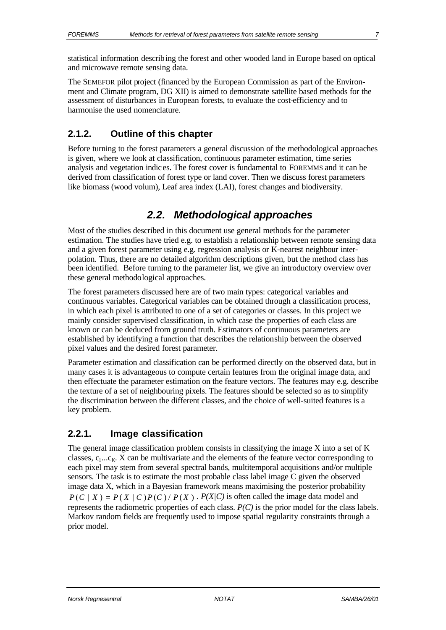statistical information describing the forest and other wooded land in Europe based on optical and microwave remote sensing data.

The SEMEFOR pilot project (financed by the European Commission as part of the Environment and Climate program, DG XII) is aimed to demonstrate satellite based methods for the assessment of disturbances in European forests, to evaluate the cost-efficiency and to harmonise the used nomenclature.

### **2.1.2. Outline of this chapter**

Before turning to the forest parameters a general discussion of the methodological approaches is given, where we look at classification, continuous parameter estimation, time series analysis and vegetation indic es. The forest cover is fundamental to FOREMMS and it can be derived from classification of forest type or land cover. Then we discuss forest parameters like biomass (wood volum), Leaf area index (LAI), forest changes and biodiversity.

# *2.2. Methodological approaches*

Most of the studies described in this document use general methods for the parameter estimation. The studies have tried e.g. to establish a relationship between remote sensing data and a given forest parameter using e.g. regression analysis or K-nearest neighbour interpolation. Thus, there are no detailed algorithm descriptions given, but the method class has been identified. Before turning to the parameter list, we give an introductory overview over these general methodological approaches.

The forest parameters discussed here are of two main types: categorical variables and continuous variables. Categorical variables can be obtained through a classification process, in which each pixel is attributed to one of a set of categories or classes. In this project we mainly consider supervised classification, in which case the properties of each class are known or can be deduced from ground truth. Estimators of continuous parameters are established by identifying a function that describes the relationship between the observed pixel values and the desired forest parameter.

Parameter estimation and classification can be performed directly on the observed data, but in many cases it is advantageous to compute certain features from the original image data, and then effectuate the parameter estimation on the feature vectors. The features may e.g. describe the texture of a set of neighbouring pixels. The features should be selected so as to simplify the discrimination between the different classes, and the choice of well-suited features is a key problem.

# **2.2.1. Image classification**

The general image classification problem consists in classifying the image X into a set of K classes,  $c_1...c_k$ . X can be multivariate and the elements of the feature vector corresponding to each pixel may stem from several spectral bands, multitemporal acquisitions and/or multiple sensors. The task is to estimate the most probable class label image C given the observed image data X, which in a Bayesian framework means maximising the posterior probability  $P(C \mid X) = P(X \mid C)P(C)/P(X)$ .  $P(X|C)$  is often called the image data model and represents the radiometric properties of each class. *P(C)* is the prior model for the class labels. Markov random fields are frequently used to impose spatial regularity constraints through a prior model.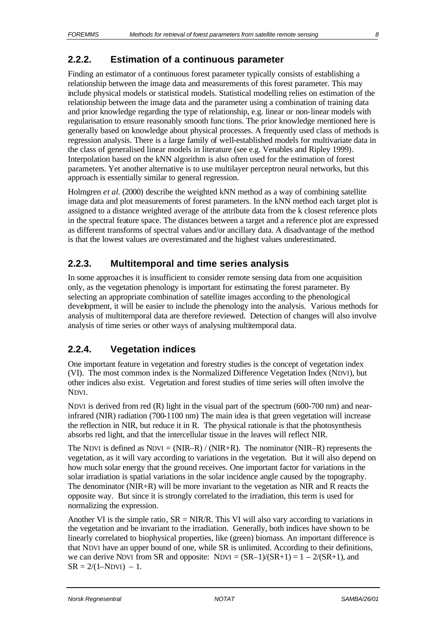Finding an estimator of a continuous forest parameter typically consists of establishing a relationship between the image data and measurements of this forest parameter. This may include physical models or statistical models. Statistical modelling relies on estimation of the relationship between the image data and the parameter using a combination of training data and prior knowledge regarding the type of relationship, e.g. linear or non-linear models with regularisation to ensure reasonably smooth func tions. The prior knowledge mentioned here is generally based on knowledge about physical processes. A frequently used class of methods is regression analysis. There is a large family of well-established models for multivariate data in the class of generalised linear models in literature (see e.g. Venables and Ripley 1999). Interpolation based on the kNN algorithm is also often used for the estimation of forest parameters. Yet another alternative is to use multilayer perceptron neural networks, but this approach is essentially similar to general regression.

Holmgren *et al.* (2000) describe the weighted kNN method as a way of combining satellite image data and plot measurements of forest parameters. In the kNN method each target plot is assigned to a distance weighted average of the attribute data from the k closest reference plots in the spectral feature space. The distances between a target and a reference plot are expressed as different transforms of spectral values and/or ancillary data. A disadvantage of the method is that the lowest values are overestimated and the highest values underestimated.

### **2.2.3. Multitemporal and time series analysis**

In some approaches it is insufficient to consider remote sensing data from one acquisition only, as the vegetation phenology is important for estimating the forest parameter. By selecting an appropriate combination of satellite images according to the phenological development, it will be easier to include the phenology into the analysis. Various methods for analysis of multitemporal data are therefore reviewed. Detection of changes will also involve analysis of time series or other ways of analysing multitemporal data.

### **2.2.4. Vegetation indices**

One important feature in vegetation and forestry studies is the concept of vegetation index (VI). The most common index is the Normalized Difference Vegetation Index (NDVI), but other indices also exist. Vegetation and forest studies of time series will often involve the NDVI.

NDVI is derived from red (R) light in the visual part of the spectrum (600-700 nm) and nearinfrared (NIR) radiation (700-1100 nm) The main idea is that green vegetation will increase the reflection in NIR, but reduce it in R. The physical rationale is that the photosynthesis absorbs red light, and that the intercellular tissue in the leaves will reflect NIR.

The NDVI is defined as NDVI =  $(NIR-R) / (NIR+R)$ . The nominator (NIR–R) represents the vegetation, as it will vary according to variations in the vegetation. But it will also depend on how much solar energy that the ground receives. One important factor for variations in the solar irradiation is spatial variations in the solar incidence angle caused by the topography. The denominator (NIR+R) will be more invariant to the vegetation as NIR and R reacts the opposite way. But since it is strongly correlated to the irradiation, this term is used for normalizing the expression.

Another VI is the simple ratio,  $SR = NIR/R$ . This VI will also vary according to variations in the vegetation and be invariant to the irradiation. Generally, both indices have shown to be linearly correlated to biophysical properties, like (green) biomass. An important difference is that NDVI have an upper bound of one, while SR is unlimited. According to their definitions, we can derive NDVI from SR and opposite:  $NDVI = (SR-1)/(SR+1) = 1 - 2/(SR+1)$ , and  $SR = 2/(1 - NDVI) - 1$ .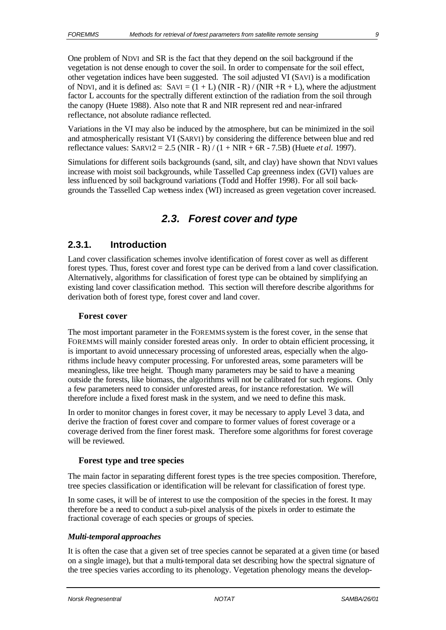One problem of NDVI and SR is the fact that they depend on the soil background if the vegetation is not dense enough to cover the soil. In order to compensate for the soil effect, other vegetation indices have been suggested. The soil adjusted VI (SAVI) is a modification of NDVI, and it is defined as:  $SAVI = (1 + L) (NIR - R) / (NIR + R + L)$ , where the adjustment factor L accounts for the spectrally different extinction of the radiation from the soil through the canopy (Huete 1988). Also note that R and NIR represent red and near-infrared reflectance, not absolute radiance reflected.

Variations in the VI may also be induced by the atmosphere, but can be minimized in the soil and atmospherically resistant VI (SARVI) by considering the difference between blue and red reflectance values: SARVI2 = 2.5 (NIR - R) / (1 + NIR + 6R - 7.5B) (Huete *et al.* 1997).

Simulations for different soils backgrounds (sand, silt, and clay) have shown that NDVI values increase with moist soil backgrounds, while Tasselled Cap greenness index (GVI) values are less influenced by soil background variations (Todd and Hoffer 1998). For all soil backgrounds the Tasselled Cap wetness index (WI) increased as green vegetation cover increased.

# *2.3. Forest cover and type*

### **2.3.1. Introduction**

Land cover classification schemes involve identification of forest cover as well as different forest types. Thus, forest cover and forest type can be derived from a land cover classification. Alternatively, algorithms for classification of forest type can be obtained by simplifying an existing land cover classification method. This section will therefore describe algorithms for derivation both of forest type, forest cover and land cover.

#### **Forest cover**

The most important parameter in the FOREMMS system is the forest cover, in the sense that FOREMMS will mainly consider forested areas only. In order to obtain efficient processing, it is important to avoid unnecessary processing of unforested areas, especially when the algorithms include heavy computer processing. For unforested areas, some parameters will be meaningless, like tree height. Though many parameters may be said to have a meaning outside the forests, like biomass, the algorithms will not be calibrated for such regions. Only a few parameters need to consider unforested areas, for instance reforestation. We will therefore include a fixed forest mask in the system, and we need to define this mask.

In order to monitor changes in forest cover, it may be necessary to apply Level 3 data, and derive the fraction of forest cover and compare to former values of forest coverage or a coverage derived from the finer forest mask. Therefore some algorithms for forest coverage will be reviewed.

### **Forest type and tree species**

The main factor in separating different forest types is the tree species composition. Therefore, tree species classification or identification will be relevant for classification of forest type.

In some cases, it will be of interest to use the composition of the species in the forest. It may therefore be a need to conduct a sub-pixel analysis of the pixels in order to estimate the fractional coverage of each species or groups of species.

### *Multi-temporal approaches*

It is often the case that a given set of tree species cannot be separated at a given time (or based on a single image), but that a multi-temporal data set describing how the spectral signature of the tree species varies according to its phenology. Vegetation phenology means the develop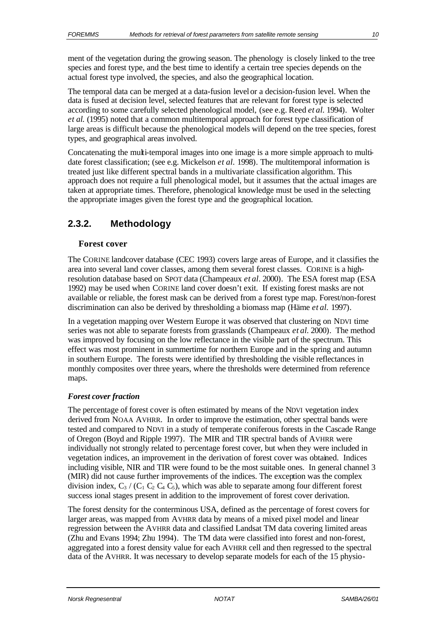ment of the vegetation during the growing season. The phenology is closely linked to the tree species and forest type, and the best time to identify a certain tree species depends on the actual forest type involved, the species, and also the geographical location.

The temporal data can be merged at a data-fusion level or a decision-fusion level. When the data is fused at decision level, selected features that are relevant for forest type is selected according to some carefully selected phenological model, (see e.g. Reed *et al.* 1994). Wolter *et al.* (1995) noted that a common multitemporal approach for forest type classification of large areas is difficult because the phenological models will depend on the tree species, forest types, and geographical areas involved.

Concatenating the multi-temporal images into one image is a more simple approach to multidate forest classification; (see e.g. Mickelson *et al.* 1998). The multitemporal information is treated just like different spectral bands in a multivariate classification algorithm. This approach does not require a full phenological model, but it assumes that the actual images are taken at appropriate times. Therefore, phenological knowledge must be used in the selecting the appropriate images given the forest type and the geographical location.

### **2.3.2. Methodology**

### **Forest cover**

The CORINE landcover database (CEC 1993) covers large areas of Europe, and it classifies the area into several land cover classes, among them several forest classes. CORINE is a highresolution database based on SPOT data (Champeaux *et al.* 2000). The ESA forest map (ESA 1992) may be used when CORINE land cover doesn't exit. If existing forest masks are not available or reliable, the forest mask can be derived from a forest type map. Forest/non-forest discrimination can also be derived by thresholding a biomass map (Häme *et al.* 1997).

In a vegetation mapping over Western Europe it was observed that clustering on NDVI time series was not able to separate forests from grasslands (Champeaux *et al.* 2000). The method was improved by focusing on the low reflectance in the visible part of the spectrum. This effect was most prominent in summertime for northern Europe and in the spring and autumn in southern Europe. The forests were identified by thresholding the visible reflectances in monthly composites over three years, where the thresholds were determined from reference maps.

### *Forest cover fraction*

The percentage of forest cover is often estimated by means of the NDVI vegetation index derived from NOAA AVHRR. In order to improve the estimation, other spectral bands were tested and compared to NDVI in a study of temperate coniferous forests in the Cascade Range of Oregon (Boyd and Ripple 1997). The MIR and TIR spectral bands of AVHRR were individually not strongly related to percentage forest cover, but when they were included in vegetation indices, an improvement in the derivation of forest cover was obtained. Indices including visible, NIR and TIR were found to be the most suitable ones. In general channel 3 (MIR) did not cause further improvements of the indices. The exception was the complex division index,  $C_3 / (C_1 C_2 C_4 C_5)$ , which was able to separate among four different forest success ional stages present in addition to the improvement of forest cover derivation.

The forest density for the conterminous USA, defined as the percentage of forest covers for larger areas, was mapped from AVHRR data by means of a mixed pixel model and linear regression between the AVHRR data and classified Landsat TM data covering limited areas (Zhu and Evans 1994; Zhu 1994). The TM data were classified into forest and non-forest, aggregated into a forest density value for each AVHRR cell and then regressed to the spectral data of the AVHRR. It was necessary to develop separate models for each of the 15 physio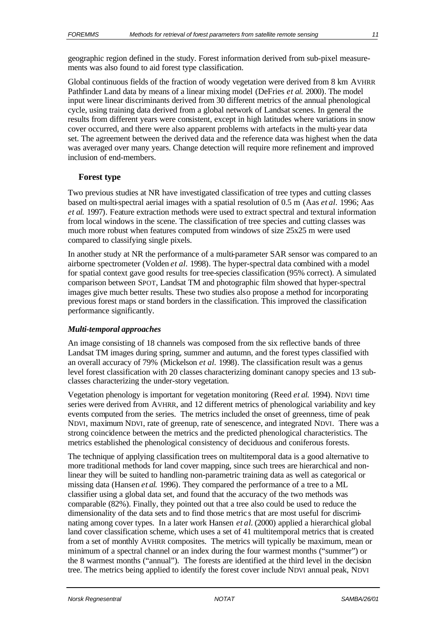geographic region defined in the study. Forest information derived from sub-pixel measurements was also found to aid forest type classification.

Global continuous fields of the fraction of woody vegetation were derived from 8 km AVHRR Pathfinder Land data by means of a linear mixing model (DeFries *et al.* 2000). The model input were linear discriminants derived from 30 different metrics of the annual phenological cycle, using training data derived from a global network of Landsat scenes. In general the results from different years were consistent, except in high latitudes where variations in snow cover occurred, and there were also apparent problems with artefacts in the multi-year data set. The agreement between the derived data and the reference data was highest when the data was averaged over many years. Change detection will require more refinement and improved inclusion of end-members.

#### **Forest type**

Two previous studies at NR have investigated classification of tree types and cutting classes based on multi-spectral aerial images with a spatial resolution of 0.5 m (Aas *et al.* 1996; Aas *et al.* 1997). Feature extraction methods were used to extract spectral and textural information from local windows in the scene. The classification of tree species and cutting classes was much more robust when features computed from windows of size 25x25 m were used compared to classifying single pixels.

In another study at NR the performance of a multi-parameter SAR sensor was compared to an airborne spectrometer (Volden *et al.* 1998). The hyper-spectral data combined with a model for spatial context gave good results for tree-species classification (95% correct). A simulated comparison between SPOT, Landsat TM and photographic film showed that hyper-spectral images give much better results. These two studies also propose a method for incorporating previous forest maps or stand borders in the classification. This improved the classification performance significantly.

#### *Multi-temporal approaches*

An image consisting of 18 channels was composed from the six reflective bands of three Landsat TM images during spring, summer and autumn, and the forest types classified with an overall accuracy of 79% (Mickelson *et al.* 1998). The classification result was a genus level forest classification with 20 classes characterizing dominant canopy species and 13 subclasses characterizing the under-story vegetation.

Vegetation phenology is important for vegetation monitoring (Reed *et al.* 1994). NDVI time series were derived from AVHRR, and 12 different metrics of phenological variability and key events computed from the series. The metrics included the onset of greenness, time of peak NDVI, maximum NDVI, rate of greenup, rate of senescence, and integrated NDVI. There was a strong coincidence between the metrics and the predicted phenological characteristics. The metrics established the phenological consistency of deciduous and coniferous forests.

The technique of applying classification trees on multitemporal data is a good alternative to more traditional methods for land cover mapping, since such trees are hierarchical and nonlinear they will be suited to handling non-parametric training data as well as categorical or missing data (Hansen *et al.* 1996). They compared the performance of a tree to a ML classifier using a global data set, and found that the accuracy of the two methods was comparable (82%). Finally, they pointed out that a tree also could be used to reduce the dimensionality of the data sets and to find those metric s that are most useful for discriminating among cover types. In a later work Hansen *et al*. (2000) applied a hierarchical global land cover classification scheme, which uses a set of 41 multitemporal metrics that is created from a set of monthly AVHRR composites. The metrics will typically be maximum, mean or minimum of a spectral channel or an index during the four warmest months ("summer") or the 8 warmest months ("annual"). The forests are identified at the third level in the decision tree. The metrics being applied to identify the forest cover include NDVI annual peak, NDVI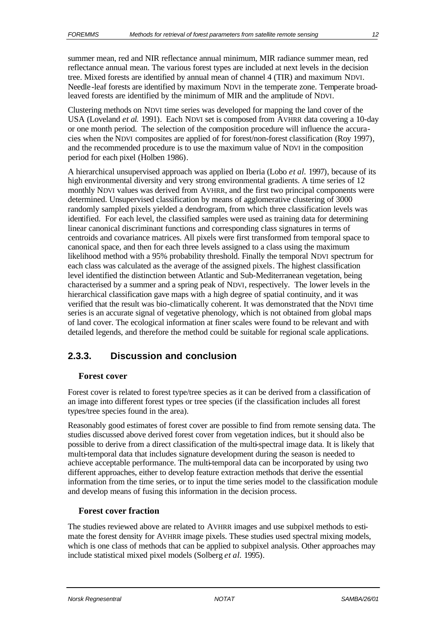summer mean, red and NIR reflectance annual minimum, MIR radiance summer mean, red reflectance annual mean. The various forest types are included at next levels in the decision tree. Mixed forests are identified by annual mean of channel 4 (TIR) and maximum NDVI. Needle-leaf forests are identified by maximum NDVI in the temperate zone. Temperate broadleaved forests are identified by the minimum of MIR and the amplitude of NDVI.

Clustering methods on NDVI time series was developed for mapping the land cover of the USA (Loveland *et al.* 1991). Each NDVI set is composed from AVHRR data covering a 10-day or one month period. The selection of the composition procedure will influence the accuracies when the NDVI composites are applied of for forest/non-forest classification (Roy 1997), and the recommended procedure is to use the maximum value of NDVI in the composition period for each pixel (Holben 1986).

A hierarchical unsupervised approach was applied on Iberia (Lobo *et al.* 1997), because of its high environmental diversity and very strong environmental gradients. A time series of 12 monthly NDVI values was derived from AVHRR, and the first two principal components were determined. Unsupervised classification by means of agglomerative clustering of 3000 randomly sampled pixels yielded a dendrogram, from which three classification levels was identified. For each level, the classified samples were used as training data for determining linear canonical discriminant functions and corresponding class signatures in terms of centroids and covariance matrices. All pixels were first transformed from temporal space to canonical space, and then for each three levels assigned to a class using the maximum likelihood method with a 95% probability threshold. Finally the temporal NDVI spectrum for each class was calculated as the average of the assigned pixels. The highest classification level identified the distinction between Atlantic and Sub-Mediterranean vegetation, being characterised by a summer and a spring peak of NDVI, respectively. The lower levels in the hierarchical classification gave maps with a high degree of spatial continuity, and it was verified that the result was bio-climatically coherent. It was demonstrated that the NDVI time series is an accurate signal of vegetative phenology, which is not obtained from global maps of land cover. The ecological information at finer scales were found to be relevant and with detailed legends, and therefore the method could be suitable for regional scale applications.

# **2.3.3. Discussion and conclusion**

### **Forest cover**

Forest cover is related to forest type/tree species as it can be derived from a classification of an image into different forest types or tree species (if the classification includes all forest types/tree species found in the area).

Reasonably good estimates of forest cover are possible to find from remote sensing data. The studies discussed above derived forest cover from vegetation indices, but it should also be possible to derive from a direct classification of the multi-spectral image data. It is likely that multi-temporal data that includes signature development during the season is needed to achieve acceptable performance. The multi-temporal data can be incorporated by using two different approaches, either to develop feature extraction methods that derive the essential information from the time series, or to input the time series model to the classification module and develop means of fusing this information in the decision process.

### **Forest cover fraction**

The studies reviewed above are related to AVHRR images and use subpixel methods to estimate the forest density for AVHRR image pixels. These studies used spectral mixing models, which is one class of methods that can be applied to subpixel analysis. Other approaches may include statistical mixed pixel models (Solberg *et al.* 1995).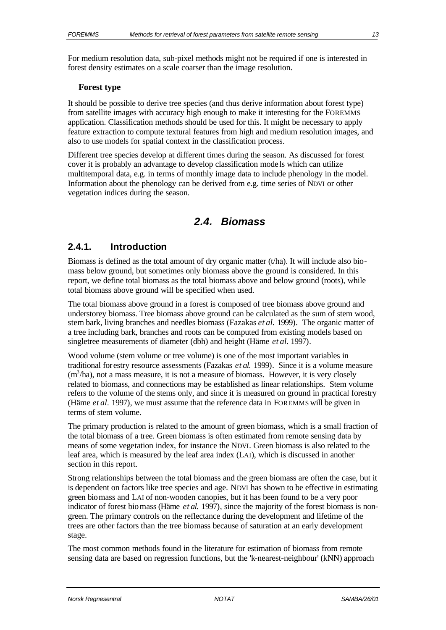For medium resolution data, sub-pixel methods might not be required if one is interested in forest density estimates on a scale coarser than the image resolution.

#### **Forest type**

It should be possible to derive tree species (and thus derive information about forest type) from satellite images with accuracy high enough to make it interesting for the FOREMMS application. Classification methods should be used for this. It might be necessary to apply feature extraction to compute textural features from high and medium resolution images, and also to use models for spatial context in the classification process.

Different tree species develop at different times during the season. As discussed for forest cover it is probably an advantage to develop classification mode ls which can utilize multitemporal data, e.g. in terms of monthly image data to include phenology in the model. Information about the phenology can be derived from e.g. time series of NDVI or other vegetation indices during the season.

# *2.4. Biomass*

### **2.4.1. Introduction**

Biomass is defined as the total amount of dry organic matter  $(t/ha)$ . It will include also biomass below ground, but sometimes only biomass above the ground is considered. In this report, we define total biomass as the total biomass above and below ground (roots), while total biomass above ground will be specified when used.

The total biomass above ground in a forest is composed of tree biomass above ground and understorey biomass. Tree biomass above ground can be calculated as the sum of stem wood, stem bark, living branches and needles biomass (Fazakas *et al.* 1999). The organic matter of a tree including bark, branches and roots can be computed from existing models based on singletree measurements of diameter (dbh) and height (Häme *et al.* 1997).

Wood volume (stem volume or tree volume) is one of the most important variables in traditional for estry resource assessments (Fazakas *et al.* 1999). Since it is a volume measure  $(m<sup>3</sup>/ha)$ , not a mass measure, it is not a measure of biomass. However, it is very closely related to biomass, and connections may be established as linear relationships. Stem volume refers to the volume of the stems only, and since it is measured on ground in practical forestry (Häme *et al.* 1997), we must assume that the reference data in FOREMMS will be given in terms of stem volume.

The primary production is related to the amount of green biomass, which is a small fraction of the total biomass of a tree. Green biomass is often estimated from remote sensing data by means of some vegetation index, for instance the NDVI. Green biomass is also related to the leaf area, which is measured by the leaf area index (LAI), which is discussed in another section in this report.

Strong relationships between the total biomass and the green biomass are often the case, but it is dependent on factors like tree species and age. NDVI has shown to be effective in estimating green biomass and LAI of non-wooden canopies, but it has been found to be a very poor indicator of forest biomass (Häme *et al.* 1997), since the majority of the forest biomass is nongreen. The primary controls on the reflectance during the development and lifetime of the trees are other factors than the tree biomass because of saturation at an early development stage.

The most common methods found in the literature for estimation of biomass from remote sensing data are based on regression functions, but the 'k-nearest-neighbour' (kNN) approach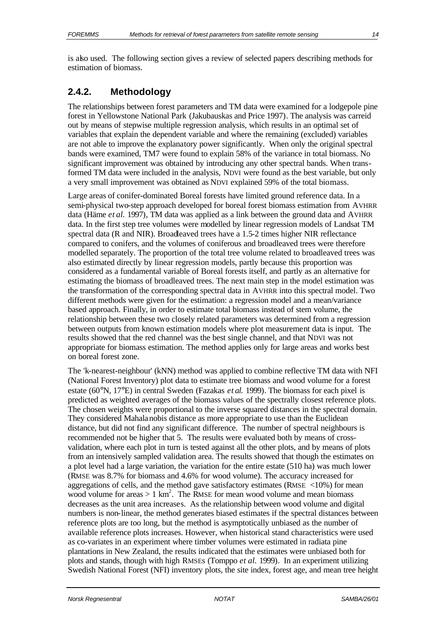is also used. The following section gives a review of selected papers describing methods for estimation of biomass.

# **2.4.2. Methodology**

The relationships between forest parameters and TM data were examined for a lodgepole pine forest in Yellowstone National Park (Jakubauskas and Price 1997). The analysis was carreid out by means of stepwise multiple regression analysis, which results in an optimal set of variables that explain the dependent variable and where the remaining (excluded) variables are not able to improve the explanatory power significantly. When only the original spectral bands were examined, TM7 were found to explain 58% of the variance in total biomass. No significant improvement was obtained by introducing any other spectral bands. When transformed TM data were included in the analysis, NDVI were found as the best variable, but only a very small improvement was obtained as NDVI explained 59% of the total biomass.

Large areas of conifer-dominated Boreal forests have limited ground reference data. In a semi-physical two-step approach developed for boreal forest biomass estimation from AVHRR data (Häme *et al.* 1997), TM data was applied as a link between the ground data and AVHRR data. In the first step tree volumes were modelled by linear regression models of Landsat TM spectral data (R and NIR). Broadleaved trees have a 1.5-2 times higher NIR reflectance compared to conifers, and the volumes of coniferous and broadleaved trees were therefore modelled separately. The proportion of the total tree volume related to broadleaved trees was also estimated directly by linear regression models, partly because this proportion was considered as a fundamental variable of Boreal forests itself, and partly as an alternative for estimating the biomass of broadleaved trees. The next main step in the model estimation was the transformation of the corresponding spectral data in AVHRR into this spectral model. Two different methods were given for the estimation: a regression model and a mean/variance based approach. Finally, in order to estimate total biomass instead of stem volume, the relationship between these two closely related parameters was determined from a regression between outputs from known estimation models where plot measurement data is input. The results showed that the red channel was the best single channel, and that NDVI was not appropriate for biomass estimation. The method applies only for large areas and works best on boreal forest zone.

The 'k-nearest-neighbour' (kNN) method was applied to combine reflective TM data with NFI (National Forest Inventory) plot data to estimate tree biomass and wood volume for a forest estate (60°N, 17°E) in central Sweden (Fazakas *et al.* 1999). The biomass for each pixel is predicted as weighted averages of the biomass values of the spectrally closest reference plots. The chosen weights were proportional to the inverse squared distances in the spectral domain. They considered Mahalanobis distance as more appropriate to use than the Euclidean distance, but did not find any significant difference. The number of spectral neighbours is recommended not be higher that 5. The results were evaluated both by means of crossvalidation, where each plot in turn is tested against all the other plots, and by means of plots from an intensively sampled validation area. The results showed that though the estimates on a plot level had a large variation, the variation for the entire estate (510 ha) was much lower (RMSE was 8.7% for biomass and 4.6% for wood volume). The accuracy increased for aggregations of cells, and the method gave satisfactory estimates ( $RMSE < 10\%$ ) for mean wood volume for areas  $> 1 \text{ km}^2$ . The RMSE for mean wood volume and mean biomass decreases as the unit area increases. As the relationship between wood volume and digital numbers is non-linear, the method generates biased estimates if the spectral distances between reference plots are too long, but the method is asymptotically unbiased as the number of available reference plots increases. However, when historical stand characteristics were used as co-variates in an experiment where timber volumes were estimated in radiata pine plantations in New Zealand, the results indicated that the estimates were unbiased both for plots and stands, though with high RMSEs (Tomppo *et al.* 1999). In an experiment utilizing Swedish National Forest (NFI) inventory plots, the site index, forest age, and mean tree height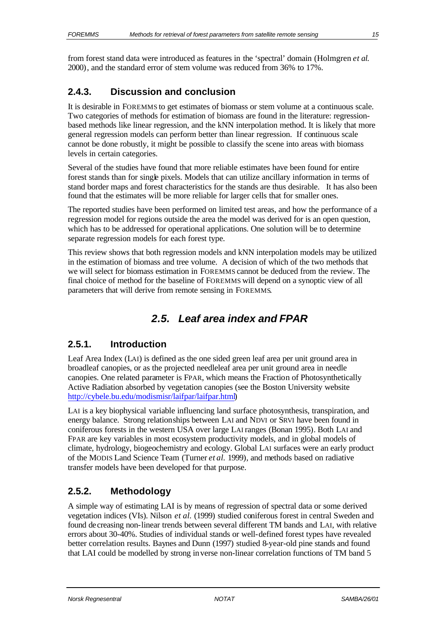from forest stand data were introduced as features in the 'spectral' domain (Holmgren *et al.* 2000), and the standard error of stem volume was reduced from 36% to 17%.

# **2.4.3. Discussion and conclusion**

It is desirable in FOREMMS to get estimates of biomass or stem volume at a continuous scale. Two categories of methods for estimation of biomass are found in the literature: regressionbased methods like linear regression, and the kNN interpolation method. It is likely that more general regression models can perform better than linear regression. If continuous scale cannot be done robustly, it might be possible to classify the scene into areas with biomass levels in certain categories.

Several of the studies have found that more reliable estimates have been found for entire forest stands than for single pixels. Models that can utilize ancillary information in terms of stand border maps and forest characteristics for the stands are thus desirable. It has also been found that the estimates will be more reliable for larger cells that for smaller ones.

The reported studies have been performed on limited test areas, and how the performance of a regression model for regions outside the area the model was derived for is an open question, which has to be addressed for operational applications. One solution will be to determine separate regression models for each forest type.

This review shows that both regression models and kNN interpolation models may be utilized in the estimation of biomass and tree volume. A decision of which of the two methods that we will select for biomass estimation in FOREMMS cannot be deduced from the review. The final choice of method for the baseline of FOREMMS will depend on a synoptic view of all parameters that will derive from remote sensing in FOREMMS.

# *2.5. Leaf area index and FPAR*

# **2.5.1. Introduction**

Leaf Area Index (LAI) is defined as the one sided green leaf area per unit ground area in broadleaf canopies, or as the projected needleleaf area per unit ground area in needle canopies. One related parameter is FPAR, which means the Fraction of Photosynthetically Active Radiation absorbed by vegetation canopies (see the Boston University website http://cybele.bu.edu/modismisr/laifpar/laifpar.html)

LAI is a key biophysical variable influencing land surface photosynthesis, transpiration, and energy balance. Strong relationships between LAI and NDVI or SRVI have been found in coniferous forests in the western USA over large LAI ranges (Bonan 1995). Both LAI and FPAR are key variables in most ecosystem productivity models, and in global models of climate, hydrology, biogeochemistry and ecology. Global LAI surfaces were an early product of the MODIS Land Science Team (Turner *et al.* 1999), and methods based on radiative transfer models have been developed for that purpose.

# **2.5.2. Methodology**

A simple way of estimating LAI is by means of regression of spectral data or some derived vegetation indices (VIs). Nilson *et al.* (1999) studied coniferous forest in central Sweden and found decreasing non-linear trends between several different TM bands and LAI, with relative errors about 30-40%. Studies of individual stands or well-defined forest types have revealed better correlation results. Baynes and Dunn (1997) studied 8-year-old pine stands and found that LAI could be modelled by strong inverse non-linear correlation functions of TM band 5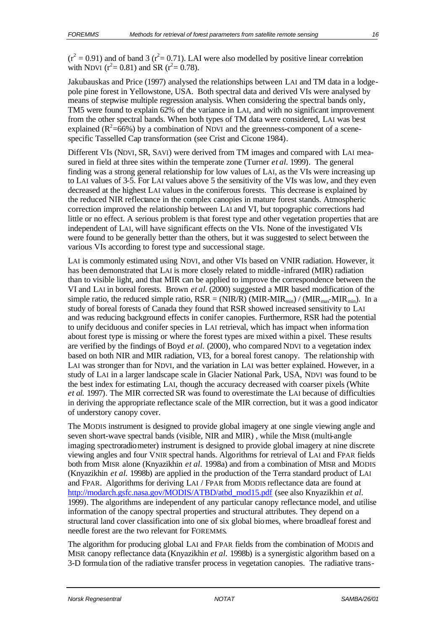$(r^2 = 0.91)$  and of band 3 ( $r^2 = 0.71$ ). LAI were also modelled by positive linear correlation with NDVI ( $r^2 = 0.81$ ) and SR ( $r^2 = 0.78$ ).

Jakubauskas and Price (1997) analysed the relationships between LAI and TM data in a lodgepole pine forest in Yellowstone, USA. Both spectral data and derived VIs were analysed by means of stepwise multiple regression analysis. When considering the spectral bands only, TM5 were found to explain 62% of the variance in LAI, and with no significant improvement from the other spectral bands. When both types of TM data were considered, LAI was best explained ( $R^2$ =66%) by a combination of NDVI and the greenness-component of a scenespecific Tasselled Cap transformation (see Crist and Cicone 1984).

Different VIs (NDVI, SR, SAVI) were derived from TM images and compared with LAI measured in field at three sites within the temperate zone (Turner *et al.* 1999). The general finding was a strong general relationship for low values of LAI, as the VIs were increasing up to LAI values of 3-5. For LAI values above 5 the sensitivity of the VIs was low, and they even decreased at the highest LAI values in the coniferous forests. This decrease is explained by the reduced NIR reflectance in the complex canopies in mature forest stands. Atmospheric correction improved the relationship between LAI and VI, but topographic corrections had little or no effect. A serious problem is that forest type and other vegetation properties that are independent of LAI, will have significant effects on the VIs. None of the investigated VIs were found to be generally better than the others, but it was suggested to select between the various VIs according to forest type and successional stage.

LAI is commonly estimated using NDVI, and other VIs based on VNIR radiation. However, it has been demonstrated that LAI is more closely related to middle -infrared (MIR) radiation than to visible light, and that MIR can be applied to improve the correspondence between the VI and LAI in boreal forests. Brown *et al.* (2000) suggested a MIR based modification of the simple ratio, the reduced simple ratio,  $RSR = (NIR/R) (MIR-MIR_{min}) / (MIR_{max}-MIR_{min})$ . In a study of boreal forests of Canada they found that RSR showed increased sensitivity to LAI and was reducing background effects in conifer canopies. Furthermore, RSR had the potential to unify deciduous and conifer species in LAI retrieval, which has impact when informa tion about forest type is missing or where the forest types are mixed within a pixel. These results are verified by the findings of Boyd *et al.* (2000), who compared NDVI to a vegetation index based on both NIR and MIR radiation, VI3, for a boreal forest canopy. The relationship with LAI was stronger than for NDVI, and the variation in LAI was better explained. However, in a study of LAI in a larger landscape scale in Glacier National Park, USA, NDVI was found to be the best index for estimating LAI, though the accuracy decreased with coarser pixels (White *et al.* 1997). The MIR corrected SR was found to overestimate the LAI because of difficulties in deriving the appropriate reflectance scale of the MIR correction, but it was a good indicator of understory canopy cover.

The MODIS instrument is designed to provide global imagery at one single viewing angle and seven short-wave spectral bands (visible, NIR and MIR) , while the MISR (multi-angle imaging spectroradiometer) instrument is designed to provide global imagery at nine discrete viewing angles and four VNIR spectral hands. Algorithms for retrieval of LAI and FPAR fields both from MISR alone (Knyazikhin *et al.* 1998a) and from a combination of MISR and MODIS (Knyazikhin *et al.* 1998b) are applied in the production of the Terra standard product of LAI and FPAR. Algorithms for deriving LAI / FPAR from MODIS reflectance data are found at http://modarch.gsfc.nasa.gov/MODIS/ATBD/atbd\_mod15.pdf (see also Knyazikhin *et al.* 1999). The algorithms are independent of any particular canopy reflectance model, and utilise information of the canopy spectral properties and structural attributes. They depend on a structural land cover classification into one of six global biomes, where broadleaf forest and needle forest are the two relevant for FOREMMS.

The algorithm for producing global LAI and FPAR fields from the combination of MODIS and MISR canopy reflectance data (Knyazikhin *et al.* 1998b) is a synergistic algorithm based on a 3-D formula tion of the radiative transfer process in vegetation canopies. The radiative trans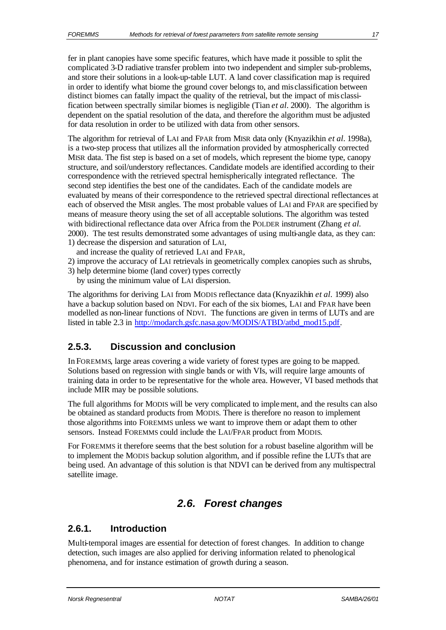fer in plant canopies have some specific features, which have made it possible to split the complicated 3-D radiative transfer problem into two independent and simpler sub-problems, and store their solutions in a look-up-table LUT. A land cover classification map is required in order to identify what biome the ground cover belongs to, and mis classification between distinct biomes can fatally impact the quality of the retrieval, but the impact of mis classification between spectrally similar biomes is negligible (Tian *et al.* 2000). The algorithm is dependent on the spatial resolution of the data, and therefore the algorithm must be adjusted for data resolution in order to be utilized with data from other sensors.

The algorithm for retrieval of LAI and FPAR from MISR data only (Knyazikhin *et al.* 1998a), is a two-step process that utilizes all the information provided by atmospherically corrected MISR data. The fist step is based on a set of models, which represent the biome type, canopy structure, and soil/understory reflectances. Candidate models are identified according to their correspondence with the retrieved spectral hemispherically integrated reflectance. The second step identifies the best one of the candidates. Each of the candidate models are evaluated by means of their correspondence to the retrieved spectral directional reflectances at each of observed the MISR angles. The most probable values of LAI and FPAR are specified by means of measure theory using the set of all acceptable solutions. The algorithm was tested with bidirectional reflectance data over Africa from the POLDER instrument (Zhang *et al.* 2000). The test results demonstrated some advantages of using multi-angle data, as they can: 1) decrease the dispersion and saturation of LAI,

and increase the quality of retrieved LAI and FPAR,

- 2) improve the accuracy of LAI retrievals in geometrically complex canopies such as shrubs,
- 3) help determine biome (land cover) types correctly
	- by using the minimum value of LAI dispersion.

The algorithms for deriving LAI from MODIS reflectance data (Knyazikhin *et al.* 1999) also have a backup solution based on NDVI. For each of the six biomes, LAI and FPAR have been modelled as non-linear functions of NDVI. The functions are given in terms of LUTs and are listed in table 2.3 in http://modarch.gsfc.nasa.gov/MODIS/ATBD/atbd\_mod15.pdf.

### **2.5.3. Discussion and conclusion**

In FOREMMS, large areas covering a wide variety of forest types are going to be mapped. Solutions based on regression with single bands or with VIs, will require large amounts of training data in order to be representative for the whole area. However, VI based methods that include MIR may be possible solutions.

The full algorithms for MODIS will be very complicated to implement, and the results can also be obtained as standard products from MODIS. There is therefore no reason to implement those algorithms into FOREMMS unless we want to improve them or adapt them to other sensors. Instead FOREMMS could include the LAI/FPAR product from MODIS.

For FOREMMS it therefore seems that the best solution for a robust baseline algorithm will be to implement the MODIS backup solution algorithm, and if possible refine the LUTs that are being used. An advantage of this solution is that NDVI can be derived from any multispectral satellite image.

# *2.6. Forest changes*

### **2.6.1. Introduction**

Multi-temporal images are essential for detection of forest changes. In addition to change detection, such images are also applied for deriving information related to phenological phenomena, and for instance estimation of growth during a season.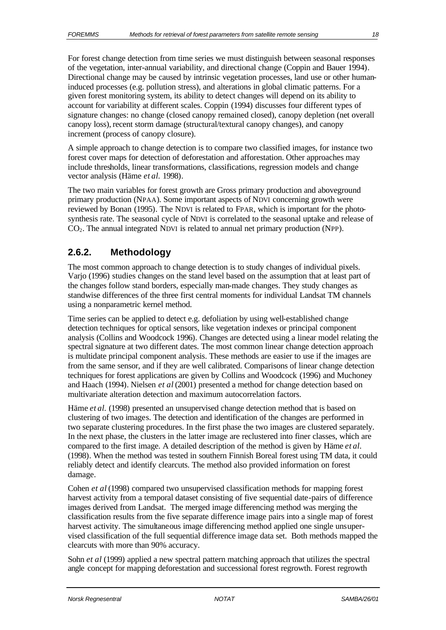For forest change detection from time series we must distinguish between seasonal responses of the vegetation, inter-annual variability, and directional change (Coppin and Bauer 1994). Directional change may be caused by intrinsic vegetation processes, land use or other humaninduced processes (e.g. pollution stress), and alterations in global climatic patterns. For a given forest monitoring system, its ability to detect changes will depend on its ability to account for variability at different scales. Coppin (1994) discusses four different types of signature changes: no change (closed canopy remained closed), canopy depletion (net overall canopy loss), recent storm damage (structural/textural canopy changes), and canopy increment (process of canopy closure).

A simple approach to change detection is to compare two classified images, for instance two forest cover maps for detection of deforestation and afforestation. Other approaches may include thresholds, linear transformations, classifications, regression models and change vector analysis (Häme *et al.* 1998).

The two main variables for forest growth are Gross primary production and aboveground primary production (NPAA). Some important aspects of NDVI concerning growth were reviewed by Bonan (1995). The NDVI is related to FPAR, which is important for the photosynthesis rate. The seasonal cycle of NDVI is correlated to the seasonal uptake and release of CO2. The annual integrated NDVI is related to annual net primary production (NPP).

# **2.6.2. Methodology**

The most common approach to change detection is to study changes of individual pixels. Varjo (1996) studies changes on the stand level based on the assumption that at least part of the changes follow stand borders, especially man-made changes. They study changes as standwise differences of the three first central moments for individual Landsat TM channels using a nonparametric kernel method.

Time series can be applied to detect e.g. defoliation by using well-established change detection techniques for optical sensors, like vegetation indexes or principal component analysis (Collins and Woodcock 1996). Changes are detected using a linear model relating the spectral signature at two different dates. The most common linear change detection approach is multidate principal component analysis. These methods are easier to use if the images are from the same sensor, and if they are well calibrated. Comparisons of linear change detection techniques for forest applications are given by Collins and Woodcock (1996) and Muchoney and Haach (1994). Nielsen *et al* (2001) presented a method for change detection based on multivariate alteration detection and maximum autocorrelation factors.

Häme *et al.* (1998) presented an unsupervised change detection method that is based on clustering of two images. The detection and identification of the changes are performed in two separate clustering procedures. In the first phase the two images are clustered separately. In the next phase, the clusters in the latter image are reclustered into finer classes, which are compared to the first image. A detailed description of the method is given by Häme *et al.* (1998). When the method was tested in southern Finnish Boreal forest using TM data, it could reliably detect and identify clearcuts. The method also provided information on forest damage.

Cohen *et al* (1998) compared two unsupervised classification methods for mapping forest harvest activity from a temporal dataset consisting of five sequential date-pairs of difference images derived from Landsat. The merged image differencing method was merging the classification results from the five separate difference image pairs into a single map of forest harvest activity. The simultaneous image differencing method applied one single unsupervised classification of the full sequential difference image data set. Both methods mapped the clearcuts with more than 90% accuracy.

Sohn *et al* (1999) applied a new spectral pattern matching approach that utilizes the spectral angle concept for mapping deforestation and successional forest regrowth. Forest regrowth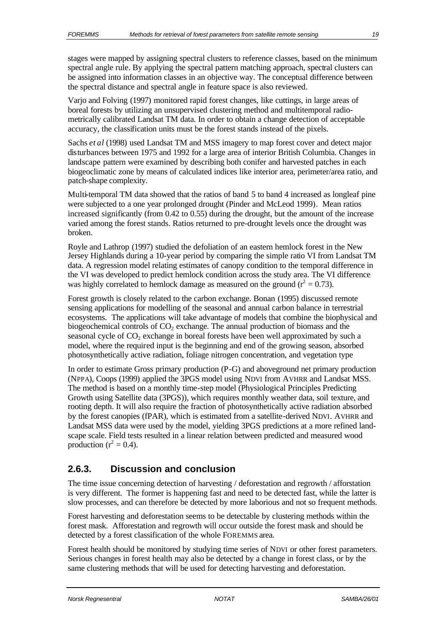stages were mapped by assigning spectral clusters to reference classes, based on the minimum spectral angle rule. By applying the spectral pattern matching approach, spectral clusters can be assigned into information classes in an objective way. The conceptual difference between the spectral distance and spectral angle in feature space is also reviewed.

Varjo and Folving (1997) monitored rapid forest changes, like cuttings, in large areas of boreal forests by utilizing an unsupervised clustering method and multitemporal radiometrically calibrated Landsat TM data. In order to obtain a change detection of acceptable accuracy, the classification units must be the forest stands instead of the pixels.

Sachs *et al* (1998) used Landsat TM and MSS imagery to map forest cover and detect major disturbances between 1975 and 1992 for a large area of interior British Columbia. Changes in landscape pattern were examined by describing both conifer and harvested patches in each biogeoclimatic zone by means of calculated indices like interior area, perimeter/area ratio, and patch-shape complexity.

Multi-temporal TM data showed that the ratios of band 5 to band 4 increased as longleaf pine were subjected to a one year prolonged drought (Pinder and McLeod 1999). Mean ratios increased significantly (from 0.42 to 0.55) during the drought, but the amount of the increase varied among the forest stands. Ratios returned to pre-drought levels once the drought was broken.

Royle and Lathrop (1997) studied the defoliation of an eastern hemlock forest in the New Jersey Highlands during a 10-year period by comparing the simple ratio VI from Landsat TM data. A regression model relating estimates of canopy condition to the temporal difference in the VI was developed to predict hemlock condition across the study area. The VI difference was highly correlated to hemlock damage as measured on the ground  $(r^2 = 0.73)$ .

Forest growth is closely related to the carbon exchange. Bonan (1995) discussed remote sensing applications for modelling of the seasonal and annual carbon balance in terrestrial ecosystems. The applications will take advantage of models that combine the biophysical and biogeochemical controls of  $CO<sub>2</sub>$  exchange. The annual production of biomass and the seasonal cycle of  $CO<sub>2</sub>$  exchange in boreal forests have been well approximated by such a model, where the required input is the beginning and end of the growing season, absorbed photosynthetically active radiation, foliage nitrogen concentration, and vegetation type

In order to estimate Gross primary production (P-G) and aboveground net primary production (NPPA), Coops (1999) applied the 3PGS model using NDVI from AVHRR and Landsat MSS. The method is based on a monthly time-step model (Physiological Principles Predicting Growth using Satellite data (3PGS)), which requires monthly weather data, soil texture, and rooting depth. It will also require the fraction of photosynthetically active radiation absorbed by the forest canopies (fPAR), which is estimated from a satellite-derived NDVI. AVHRR and Landsat MSS data were used by the model, yielding 3PGS predictions at a more refined landscape scale. Field tests resulted in a linear relation between predicted and measured wood production ( $r^2 = 0.4$ ).

# **2.6.3. Discussion and conclusion**

The time issue concerning detection of harvesting / deforestation and regrowth / afforstation is very different. The former is happening fast and need to be detected fast, while the latter is slow processes, and can therefore be detected by more laborious and not so frequent methods.

Forest harvesting and deforestation seems to be detectable by clustering methods within the forest mask. Afforestation and regrowth will occur outside the forest mask and should be detected by a forest classification of the whole FOREMMS area.

Forest health should be monitored by studying time series of NDVI or other forest parameters. Serious changes in forest health may also be detected by a change in forest class, or by the same clustering methods that will be used for detecting harvesting and deforestation.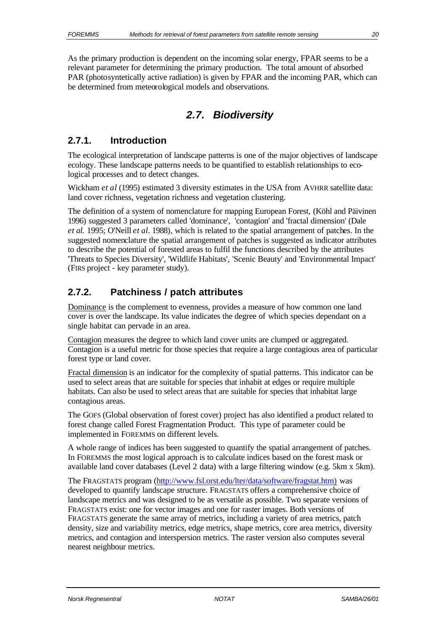As the primary production is dependent on the incoming solar energy, FPAR seems to be a relevant parameter for determining the primary production. The total amount of absorbed PAR (photosyntetically active radiation) is given by FPAR and the incoming PAR, which can be determined from meteorological models and observations.

# *2.7. Biodiversity*

### **2.7.1. Introduction**

The ecological interpretation of landscape patterns is one of the major objectives of landscape ecology. These landscape patterns needs to be quantified to establish relationships to ecological processes and to detect changes.

Wickham *et al* (1995) estimated 3 diversity estimates in the USA from AVHRR satellite data: land cover richness, vegetation richness and vegetation clustering.

The definition of a system of nomenclature for mapping European Forest, (Köhl and Päivinen 1996) suggested 3 parameters called 'dominance', 'contagion' and 'fractal dimension' (Dale *et al.* 1995; O'Neill *et al.* 1988), which is related to the spatial arrangement of patches. In the suggested nomenclature the spatial arrangement of patches is suggested as indicator attributes to describe the potential of forested areas to fulfil the functions described by the attributes 'Threats to Species Diversity', 'Wildlife Habitats', 'Scenic Beauty' and 'Environmental Impact' (FIRS project - key parameter study).

### **2.7.2. Patchiness / patch attributes**

Dominance is the complement to evenness, provides a measure of how common one land cover is over the landscape. Its value indicates the degree of which species dependant on a single habitat can pervade in an area.

Contagion measures the degree to which land cover units are clumped or aggregated. Contagion is a useful metric for those species that require a large contagious area of particular forest type or land cover.

Fractal dimension is an indicator for the complexity of spatial patterns. This indicator can be used to select areas that are suitable for species that inhabit at edges or require multiple habitats. Can also be used to select areas that are suitable for species that inhabitat large contagious areas.

The GOFS (Global observation of forest cover) project has also identified a product related to forest change called Forest Fragmentation Product. This type of parameter could be implemented in FOREMMS on different levels.

A whole range of indices has been suggested to quantify the spatial arrangement of patches. In FOREMMS the most logical approach is to calculate indices based on the forest mask or available land cover databases (Level 2 data) with a large filtering window (e.g. 5km x 5km).

The FRAGSTATS program (http://www.fsl.orst.edu/lter/data/software/fragstat.htm) was developed to quantify landscape structure. FRAGSTATS offers a comprehensive choice of landscape metrics and was designed to be as versatile as possible. Two separate versions of FRAGSTATS exist: one for vector images and one for raster images. Both versions of FRAGSTATS generate the same array of metrics, including a variety of area metrics, patch density, size and variability metrics, edge metrics, shape metrics, core area metrics, diversity metrics, and contagion and interspersion metrics. The raster version also computes several nearest neighbour metrics.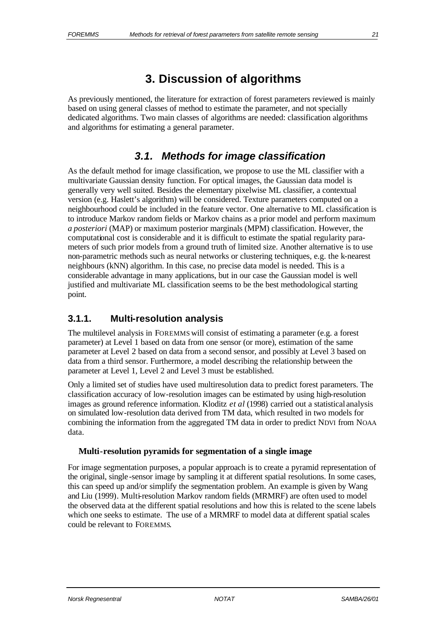# **3. Discussion of algorithms**

As previously mentioned, the literature for extraction of forest parameters reviewed is mainly based on using general classes of method to estimate the parameter, and not specially dedicated algorithms. Two main classes of algorithms are needed: classification algorithms and algorithms for estimating a general parameter.

# *3.1. Methods for image classification*

As the default method for image classification, we propose to use the ML classifier with a multivariate Gaussian density function. For optical images, the Gaussian data model is generally very well suited. Besides the elementary pixelwise ML classifier, a contextual version (e.g. Haslett's algorithm) will be considered. Texture parameters computed on a neighbourhood could be included in the feature vector. One alternative to ML classification is to introduce Markov random fields or Markov chains as a prior model and perform maximum *a posteriori* (MAP) or maximum posterior marginals (MPM) classification. However, the computational cost is considerable and it is difficult to estimate the spatial regularity parameters of such prior models from a ground truth of limited size. Another alternative is to use non-parametric methods such as neural networks or clustering techniques, e.g. the k-nearest neighbours (kNN) algorithm. In this case, no precise data model is needed. This is a considerable advantage in many applications, but in our case the Gaussian model is well justified and multivariate ML classification seems to be the best methodological starting point.

# **3.1.1. Multi-resolution analysis**

The multilevel analysis in FOREMMS will consist of estimating a parameter (e.g. a forest parameter) at Level 1 based on data from one sensor (or more), estimation of the same parameter at Level 2 based on data from a second sensor, and possibly at Level 3 based on data from a third sensor. Furthermore, a model describing the relationship between the parameter at Level 1, Level 2 and Level 3 must be established.

Only a limited set of studies have used multiresolution data to predict forest parameters. The classification accuracy of low-resolution images can be estimated by using high-resolution images as ground reference information. Kloditz *et al* (1998) carried out a statistical analysis on simulated low-resolution data derived from TM data, which resulted in two models for combining the information from the aggregated TM data in order to predict NDVI from NOAA data.

### **Multi-resolution pyramids for segmentation of a single image**

For image segmentation purposes, a popular approach is to create a pyramid representation of the original, single -sensor image by sampling it at different spatial resolutions. In some cases, this can speed up and/or simplify the segmentation problem. An example is given by Wang and Liu (1999). Multi-resolution Markov random fields (MRMRF) are often used to model the observed data at the different spatial resolutions and how this is related to the scene labels which one seeks to estimate. The use of a MRMRF to model data at different spatial scales could be relevant to FOREMMS.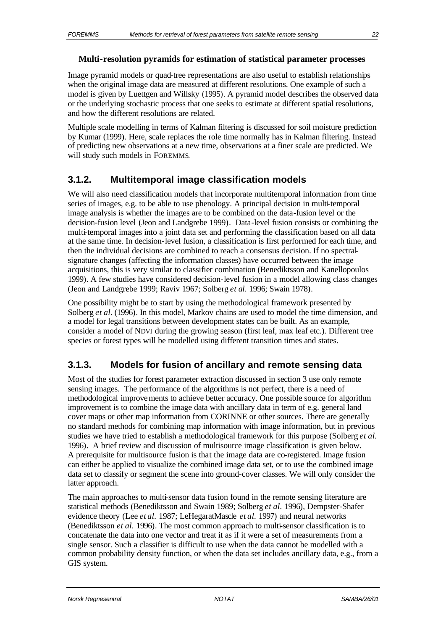Image pyramid models or quad-tree representations are also useful to establish relationships when the original image data are measured at different resolutions. One example of such a model is given by Luettgen and Willsky (1995). A pyramid model describes the observed data or the underlying stochastic process that one seeks to estimate at different spatial resolutions, and how the different resolutions are related.

Multiple scale modelling in terms of Kalman filtering is discussed for soil moisture prediction by Kumar (1999). Here, scale replaces the role time normally has in Kalman filtering. Instead of predicting new observations at a new time, observations at a finer scale are predicted. We will study such models in FOREMMS.

### **3.1.2. Multitemporal image classification models**

We will also need classification models that incorporate multitemporal information from time series of images, e.g. to be able to use phenology. A principal decision in multi-temporal image analysis is whether the images are to be combined on the data-fusion level or the decision-fusion level (Jeon and Landgrebe 1999). Data-level fusion consists or combining the multi-temporal images into a joint data set and performing the classification based on all data at the same time. In decision-level fusion, a classification is first performed for each time, and then the individual decisions are combined to reach a consensus decision. If no spectralsignature changes (affecting the information classes) have occurred between the image acquisitions, this is very similar to classifier combination (Benediktsson and Kanellopoulos 1999). A few studies have considered decision-level fusion in a model allowing class changes (Jeon and Landgrebe 1999; Raviv 1967; Solberg *et al.* 1996; Swain 1978).

One possibility might be to start by using the methodological framework presented by Solberg *et al.* (1996). In this model, Markov chains are used to model the time dimension, and a model for legal transitions between development states can be built. As an example, consider a model of NDVI during the growing season (first leaf, max leaf etc.). Different tree species or forest types will be modelled using different transition times and states.

# **3.1.3. Models for fusion of ancillary and remote sensing data**

Most of the studies for forest parameter extraction discussed in section 3 use only remote sensing images. The performance of the algorithms is not perfect, there is a need of methodological improvements to achieve better accuracy. One possible source for algorithm improvement is to combine the image data with ancillary data in term of e.g. general land cover maps or other map information from CORINNE or other sources. There are generally no standard methods for combining map information with image information, but in previous studies we have tried to establish a methodological framework for this purpose (Solberg *et al.* 1996). A brief review and discussion of multisource image classification is given below. A prerequisite for multisource fusion is that the image data are co-registered. Image fusion can either be applied to visualize the combined image data set, or to use the combined image data set to classify or segment the scene into ground-cover classes. We will only consider the latter approach.

The main approaches to multi-sensor data fusion found in the remote sensing literature are statistical methods (Benediktsson and Swain 1989; Solberg *et al.* 1996), Dempster-Shafer evidence theory (Lee *et al.* 1987; LeHegaratMascle *et al.* 1997) and neural networks (Benediktsson *et al.* 1996). The most common approach to multi-sensor classification is to concatenate the data into one vector and treat it as if it were a set of measurements from a single sensor. Such a classifier is difficult to use when the data cannot be modelled with a common probability density function, or when the data set includes ancillary data, e.g., from a GIS system.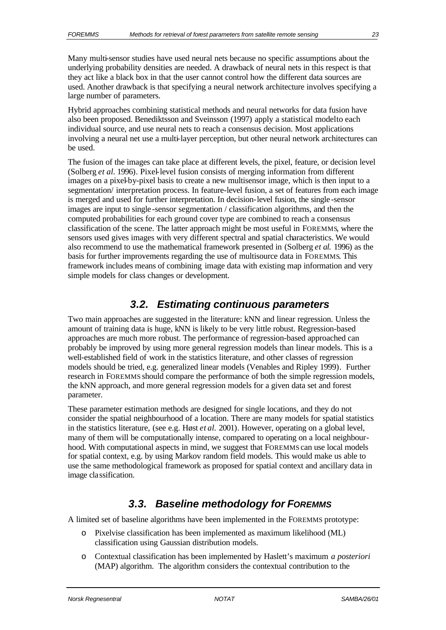Many multi-sensor studies have used neural nets because no specific assumptions about the underlying probability densities are needed. A drawback of neural nets in this respect is that they act like a black box in that the user cannot control how the different data sources are used. Another drawback is that specifying a neural network architecture involves specifying a large number of parameters.

Hybrid approaches combining statistical methods and neural networks for data fusion have also been proposed. Benediktsson and Sveinsson (1997) apply a statistical model to each individual source, and use neural nets to reach a consensus decision. Most applications involving a neural net use a multi-layer perception, but other neural network architectures can be used.

The fusion of the images can take place at different levels, the pixel, feature, or decision level (Solberg *et al.* 1996). Pixel-level fusion consists of merging information from different images on a pixel-by-pixel basis to create a new multisensor image, which is then input to a segmentation/ interpretation process. In feature-level fusion, a set of features from each image is merged and used for further interpretation. In decision-level fusion, the single -sensor images are input to single -sensor segmentation / classification algorithms, and then the computed probabilities for each ground cover type are combined to reach a consensus classification of the scene. The latter approach might be most useful in FOREMMS, where the sensors used gives images with very different spectral and spatial characteristics. We would also recommend to use the mathematical framework presented in (Solberg *et al.* 1996) as the basis for further improvements regarding the use of multisource data in FOREMMS. This framework includes means of combining image data with existing map information and very simple models for class changes or development.

# *3.2. Estimating continuous parameters*

Two main approaches are suggested in the literature: kNN and linear regression. Unless the amount of training data is huge, kNN is likely to be very little robust. Regression-based approaches are much more robust. The performance of regression-based approached can probably be improved by using more general regression models than linear models. This is a well-established field of work in the statistics literature, and other classes of regression models should be tried, e.g. generalized linear models (Venables and Ripley 1999). Further research in FOREMMS should compare the performance of both the simple regression models, the kNN approach, and more general regression models for a given data set and forest parameter.

These parameter estimation methods are designed for single locations, and they do not consider the spatial neighbourhood of a location. There are many models for spatial statistics in the statistics literature, (see e.g. Høst *et al.* 2001). However, operating on a global level, many of them will be computationally intense, compared to operating on a local neighbourhood. With computational aspects in mind, we suggest that FOREMMS can use local models for spatial context, e.g. by using Markov random field models. This would make us able to use the same methodological framework as proposed for spatial context and ancillary data in image classification.

# *3.3. Baseline methodology for FOREMMS*

A limited set of baseline algorithms have been implemented in the FOREMMS prototype:

- o Pixelvise classification has been implemented as maximum likelihood (ML) classification using Gaussian distribution models.
- o Contextual classification has been implemented by Haslett's maximum *a posteriori* (MAP) algorithm. The algorithm considers the contextual contribution to the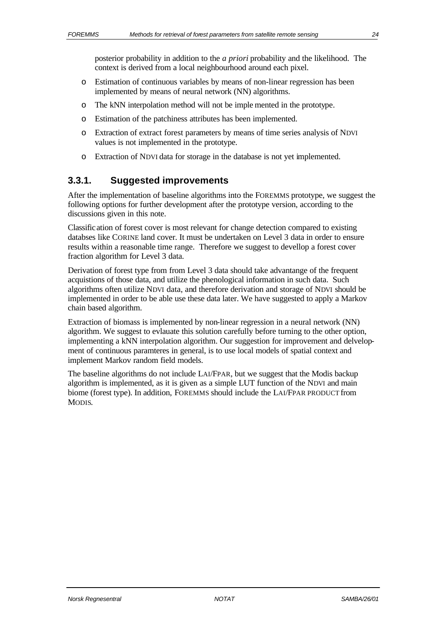posterior probability in addition to the *a priori* probability and the likelihood. The context is derived from a local neighbourhood around each pixel.

- o Estimation of continuous variables by means of non-linear regression has been implemented by means of neural network (NN) algorithms.
- o The kNN interpolation method will not be imple mented in the prototype.
- o Estimation of the patchiness attributes has been implemented.
- o Extraction of extract forest parameters by means of time series analysis of NDVI values is not implemented in the prototype.
- o Extraction of NDVI data for storage in the database is not yet implemented.

### **3.3.1. Suggested improvements**

After the implementation of baseline algorithms into the FOREMMS prototype, we suggest the following options for further development after the prototype version, according to the discussions given in this note.

Classification of forest cover is most relevant for change detection compared to existing databses like CORINE land cover. It must be undertaken on Level 3 data in order to ensure results within a reasonable time range. Therefore we suggest to devellop a forest cover fraction algorithm for Level 3 data.

Derivation of forest type from from Level 3 data should take advantange of the frequent acquistions of those data, and utilize the phenological information in such data. Such algorithms often utilize NDVI data, and therefore derivation and storage of NDVI should be implemented in order to be able use these data later. We have suggested to apply a Markov chain based algorithm.

Extraction of biomass is implemented by non-linear regression in a neural network (NN) algorithm. We suggest to evlauate this solution carefully before turning to the other option, implementing a kNN interpolation algorithm. Our suggestion for improvement and delvelopment of continuous paramteres in general, is to use local models of spatial context and implement Markov random field models.

The baseline algorithms do not include LAI/FPAR, but we suggest that the Modis backup algorithm is implemented, as it is given as a simple LUT function of the NDVI and main biome (forest type). In addition, FOREMMS should include the LAI/FPAR PRODUCT from MODIS.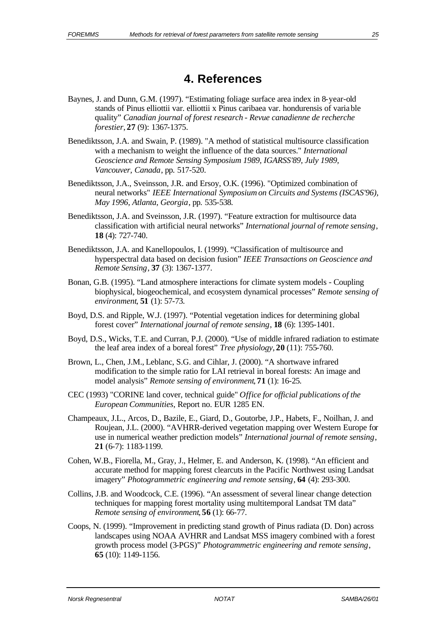# **4. References**

- Baynes, J. and Dunn, G.M. (1997). "Estimating foliage surface area index in 8-year-old stands of Pinus elliottii var. elliottii x Pinus caribaea var. hondurensis of variable quality" *Canadian journal of forest research - Revue canadienne de recherche forestier*, **27** (9): 1367-1375.
- Benediktsson, J.A. and Swain, P. (1989). "A method of statistical multisource classification with a mechanism to weight the influence of the data sources." *International Geoscience and Remote Sensing Symposium 1989, IGARSS'89, July 1989, Vancouver, Canada*, pp. 517-520.
- Benediktsson, J.A., Sveinsson, J.R. and Ersoy, O.K. (1996). "Optimized combination of neural networks" *IEEE International Symposium on Circuits and Systems (ISCAS'96), May 1996, Atlanta, Georgia*, pp. 535-538.
- Benediktsson, J.A. and Sveinsson, J.R. (1997). "Feature extraction for multisource data classification with artificial neural networks" *International journal of remote sensing*, **18** (4): 727-740.
- Benediktsson, J.A. and Kanellopoulos, I. (1999). "Classification of multisource and hyperspectral data based on decision fusion" *IEEE Transactions on Geoscience and Remote Sensing*, **37** (3): 1367-1377.
- Bonan, G.B. (1995). "Land atmosphere interactions for climate system models Coupling biophysical, biogeochemical, and ecosystem dynamical processes" *Remote sensing of environment*, **51** (1): 57-73.
- Boyd, D.S. and Ripple, W.J. (1997). "Potential vegetation indices for determining global forest cover" *International journal of remote sensing*, **18** (6): 1395-1401.
- Boyd, D.S., Wicks, T.E. and Curran, P.J. (2000). "Use of middle infrared radiation to estimate the leaf area index of a boreal forest" *Tree physiology*, **20** (11): 755-760.
- Brown, L., Chen, J.M., Leblanc, S.G. and Cihlar, J. (2000). "A shortwave infrared modification to the simple ratio for LAI retrieval in boreal forests: An image and model analysis" *Remote sensing of environment*, **71** (1): 16-25.
- CEC (1993) "CORINE land cover, technical guide" *Office for official publications of the European Communities*, Report no. EUR 1285 EN.
- Champeaux, J.L., Arcos, D., Bazile, E., Giard, D., Goutorbe, J.P., Habets, F., Noilhan, J. and Roujean, J.L. (2000). "AVHRR-derived vegetation mapping over Western Europe for use in numerical weather prediction models" *International journal of remote sensing*, **21** (6-7): 1183-1199.
- Cohen, W.B., Fiorella, M., Gray, J., Helmer, E. and Anderson, K. (1998). "An efficient and accurate method for mapping forest clearcuts in the Pacific Northwest using Landsat imagery" *Photogrammetric engineering and remote sensing*, **64** (4): 293-300.
- Collins, J.B. and Woodcock, C.E. (1996). "An assessment of several linear change detection techniques for mapping forest mortality using multitemporal Landsat TM data" *Remote sensing of environment*, **56** (1): 66-77.
- Coops, N. (1999). "Improvement in predicting stand growth of Pinus radiata (D. Don) across landscapes using NOAA AVHRR and Landsat MSS imagery combined with a forest growth process model (3-PGS)" *Photogrammetric engineering and remote sensing*, **65** (10): 1149-1156.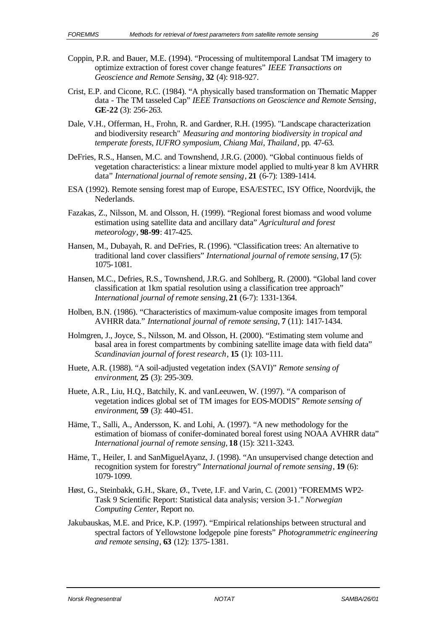- Coppin, P.R. and Bauer, M.E. (1994). "Processing of multitemporal Landsat TM imagery to optimize extraction of forest cover change features" *IEEE Transactions on Geoscience and Remote Sensing*, **32** (4): 918-927.
- Crist, E.P. and Cicone, R.C. (1984). "A physically based transformation on Thematic Mapper data - The TM tasseled Cap" *IEEE Transactions on Geoscience and Remote Sensing*, **GE-22** (3): 256-263.
- Dale, V.H., Offerman, H., Frohn, R. and Gardner, R.H. (1995). "Landscape characterization and biodiversity research" *Measuring and montoring biodiversity in tropical and temperate forests, IUFRO symposium, Chiang Mai, Thailand*, pp. 47-63.
- DeFries, R.S., Hansen, M.C. and Townshend, J.R.G. (2000). "Global continuous fields of vegetation characteristics: a linear mixture model applied to multi-year 8 km AVHRR data" *International journal of remote sensing*, **21** (6-7): 1389-1414.
- ESA (1992). Remote sensing forest map of Europe, ESA/ESTEC, ISY Office, Noordvijk, the Nederlands.
- Fazakas, Z., Nilsson, M. and Olsson, H. (1999). "Regional forest biomass and wood volume estimation using satellite data and ancillary data" *Agricultural and forest meteorology*, **98-99**: 417-425.
- Hansen, M., Dubayah, R. and DeFries, R. (1996). "Classification trees: An alternative to traditional land cover classifiers" *International journal of remote sensing*, **17** (5): 1075-1081.
- Hansen, M.C., Defries, R.S., Townshend, J.R.G. and Sohlberg, R. (2000). "Global land cover classification at 1km spatial resolution using a classification tree approach" *International journal of remote sensing*, **21** (6-7): 1331-1364.
- Holben, B.N. (1986). "Characteristics of maximum-value composite images from temporal AVHRR data." *International journal of remote sensing*, **7** (11): 1417-1434.
- Holmgren, J., Joyce, S., Nilsson, M. and Olsson, H. (2000). "Estimating stem volume and basal area in forest compartments by combining satellite image data with field data" *Scandinavian journal of forest research*, **15** (1): 103-111.
- Huete, A.R. (1988). "A soil-adjusted vegetation index (SAVI)" *Remote sensing of environment*, **25** (3): 295-309.
- Huete, A.R., Liu, H.Q., Batchily, K. and vanLeeuwen, W. (1997). "A comparison of vegetation indices global set of TM images for EOS-MODIS" *Remote sensing of environment*, **59** (3): 440-451.
- Häme, T., Salli, A., Andersson, K. and Lohi, A. (1997). "A new methodology for the estimation of biomass of conifer-dominated boreal forest using NOAA AVHRR data" *International journal of remote sensing*, **18** (15): 3211-3243.
- Häme, T., Heiler, I. and SanMiguelAyanz, J. (1998). "An unsupervised change detection and recognition system for forestry" *International journal of remote sensing*, **19** (6): 1079-1099.
- Høst, G., Steinbakk, G.H., Skare, Ø., Tvete, I.F. and Varin, C. (2001) "FOREMMS WP2- Task 9 Scientific Report: Statistical data analysis; version 3-1." *Norwegian Computing Center*, Report no.
- Jakubauskas, M.E. and Price, K.P. (1997). "Empirical relationships between structural and spectral factors of Yellowstone lodgepole pine forests" *Photogrammetric engineering and remote sensing*, **63** (12): 1375-1381.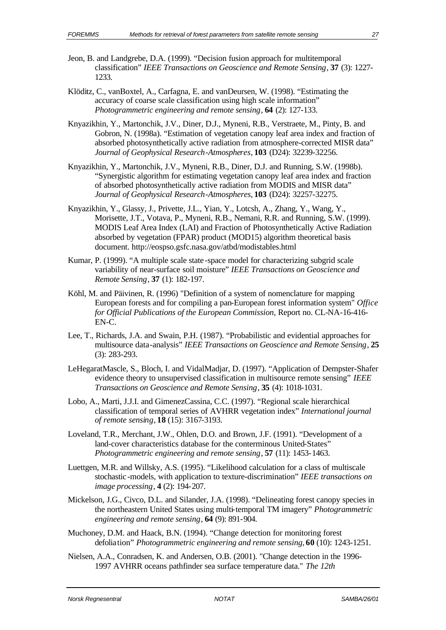- Jeon, B. and Landgrebe, D.A. (1999). "Decision fusion approach for multitemporal classification" *IEEE Transactions on Geoscience and Remote Sensing*, **37** (3): 1227- 1233.
- Klöditz, C., vanBoxtel, A., Carfagna, E. and vanDeursen, W. (1998). "Estimating the accuracy of coarse scale classification using high scale information" *Photogrammetric engineering and remote sensing*, **64** (2): 127-133.
- Knyazikhin, Y., Martonchik, J.V., Diner, D.J., Myneni, R.B., Verstraete, M., Pinty, B. and Gobron, N. (1998a). "Estimation of vegetation canopy leaf area index and fraction of absorbed photosynthetically active radiation from atmosphere-corrected MISR data" *Journal of Geophysical Research-Atmospheres*, **103** (D24): 32239-32256.
- Knyazikhin, Y., Martonchik, J.V., Myneni, R.B., Diner, D.J. and Running, S.W. (1998b). "Synergistic algorithm for estimating vegetation canopy leaf area index and fraction of absorbed photosynthetically active radiation from MODIS and MISR data" *Journal of Geophysical Research-Atmospheres*, **103** (D24): 32257-32275.
- Knyazikhin, Y., Glassy, J., Privette, J.L., Yian, Y., Lotcsh, A., Zhang, Y., Wang, Y., Morisette, J.T., Votava, P., Myneni, R.B., Nemani, R.R. and Running, S.W. (1999). MODIS Leaf Area Index (LAI) and Fraction of Photosynthetically Active Radiation absorbed by vegetation (FPAR) product (MOD15) algorithm theoretical basis document. http://eospso.gsfc.nasa.gov/atbd/modistables.html
- Kumar, P. (1999). "A multiple scale state -space model for characterizing subgrid scale variability of near-surface soil moisture" *IEEE Transactions on Geoscience and Remote Sensing*, **37** (1): 182-197.
- Köhl, M. and Päivinen, R. (1996) "Definition of a system of nomenclature for mapping European forests and for compiling a pan-European forest information system" *Office for Official Publications of the European Commission*, Report no. CL-NA-16-416- EN-C.
- Lee, T., Richards, J.A. and Swain, P.H. (1987). "Probabilistic and evidential approaches for multisource data-analysis" *IEEE Transactions on Geoscience and Remote Sensing*, **25** (3): 283-293.
- LeHegaratMascle, S., Bloch, I. and VidalMadjar, D. (1997). "Application of Dempster-Shafer evidence theory to unsupervised classification in multisource remote sensing" *IEEE Transactions on Geoscience and Remote Sensing*, **35** (4): 1018-1031.
- Lobo, A., Marti, J.J.I. and GimenezCassina, C.C. (1997). "Regional scale hierarchical classification of temporal series of AVHRR vegetation index" *International journal of remote sensing*, **18** (15): 3167-3193.
- Loveland, T.R., Merchant, J.W., Ohlen, D.O. and Brown, J.F. (1991). "Development of a land-cover characteristics database for the conterminous United-States" *Photogrammetric engineering and remote sensing*, **57** (11): 1453-1463.
- Luettgen, M.R. and Willsky, A.S. (1995). "Likelihood calculation for a class of multiscale stochastic -models, with application to texture-discrimination" *IEEE transactions on image processing*, **4** (2): 194-207.
- Mickelson, J.G., Civco, D.L. and Silander, J.A. (1998). "Delineating forest canopy species in the northeastern United States using multi-temporal TM imagery" *Photogrammetric engineering and remote sensing*, **64** (9): 891-904.
- Muchoney, D.M. and Haack, B.N. (1994). "Change detection for monitoring forest defoliation" *Photogrammetric engineering and remote sensing*, **60** (10): 1243-1251.
- Nielsen, A.A., Conradsen, K. and Andersen, O.B. (2001). "Change detection in the 1996- 1997 AVHRR oceans pathfinder sea surface temperature data." *The 12th*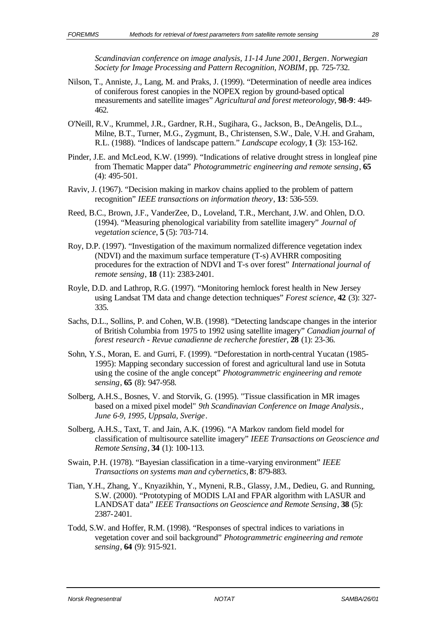*Scandinavian conference on image analysis, 11-14 June 2001, Bergen*. *Norwegian Society for Image Processing and Pattern Recognition, NOBIM*, pp. 725-732.

- Nilson, T., Anniste, J., Lang, M. and Praks, J. (1999). "Determination of needle area indices of coniferous forest canopies in the NOPEX region by ground-based optical measurements and satellite images" *Agricultural and forest meteorology*, **98-9**: 449- 462.
- O'Neill, R.V., Krummel, J.R., Gardner, R.H., Sugihara, G., Jackson, B., DeAngelis, D.L., Milne, B.T., Turner, M.G., Zygmunt, B., Christensen, S.W., Dale, V.H. and Graham, R.L. (1988). "Indices of landscape pattern." *Landscape ecology*, **1** (3): 153-162.
- Pinder, J.E. and McLeod, K.W. (1999). "Indications of relative drought stress in longleaf pine from Thematic Mapper data" *Photogrammetric engineering and remote sensing*, **65** (4): 495-501.
- Raviv, J. (1967). "Decision making in markov chains applied to the problem of pattern recognition" *IEEE transactions on information theory*, **13**: 536-559.
- Reed, B.C., Brown, J.F., VanderZee, D., Loveland, T.R., Merchant, J.W. and Ohlen, D.O. (1994). "Measuring phenological variability from satellite imagery" *Journal of vegetation science*, **5** (5): 703-714.
- Roy, D.P. (1997). "Investigation of the maximum normalized difference vegetation index (NDVI) and the maximum surface temperature (T-s) AVHRR compositing procedures for the extraction of NDVI and T-s over forest" *International journal of remote sensing*, **18** (11): 2383-2401.
- Royle, D.D. and Lathrop, R.G. (1997). "Monitoring hemlock forest health in New Jersey using Landsat TM data and change detection techniques" *Forest science*, **42** (3): 327- 335.
- Sachs, D.L., Sollins, P. and Cohen, W.B. (1998). "Detecting landscape changes in the interior of British Columbia from 1975 to 1992 using satellite imagery" *Canadian journal of forest research - Revue canadienne de recherche forestier*, **28** (1): 23-36.
- Sohn, Y.S., Moran, E. and Gurri, F. (1999). "Deforestation in north-central Yucatan (1985- 1995): Mapping secondary succession of forest and agricultural land use in Sotuta using the cosine of the angle concept" *Photogrammetric engineering and remote sensing*, **65** (8): 947-958.
- Solberg, A.H.S., Bosnes, V. and Storvik, G. (1995). "Tissue classification in MR images based on a mixed pixel model" *9th Scandinavian Conference on Image Analysis., June 6-9, 1995, Uppsala, Sverige*.
- Solberg, A.H.S., Taxt, T. and Jain, A.K. (1996). "A Markov random field model for classification of multisource satellite imagery" *IEEE Transactions on Geoscience and Remote Sensing*, **34** (1): 100-113.
- Swain, P.H. (1978). "Bayesian classification in a time-varying environment" *IEEE Transactions on systems man and cybernetics*, **8**: 879-883.
- Tian, Y.H., Zhang, Y., Knyazikhin, Y., Myneni, R.B., Glassy, J.M., Dedieu, G. and Running, S.W. (2000). "Prototyping of MODIS LAI and FPAR algorithm with LASUR and LANDSAT data" *IEEE Transactions on Geoscience and Remote Sensing*, **38** (5): 2387-2401.
- Todd, S.W. and Hoffer, R.M. (1998). "Responses of spectral indices to variations in vegetation cover and soil background" *Photogrammetric engineering and remote sensing*, **64** (9): 915-921.